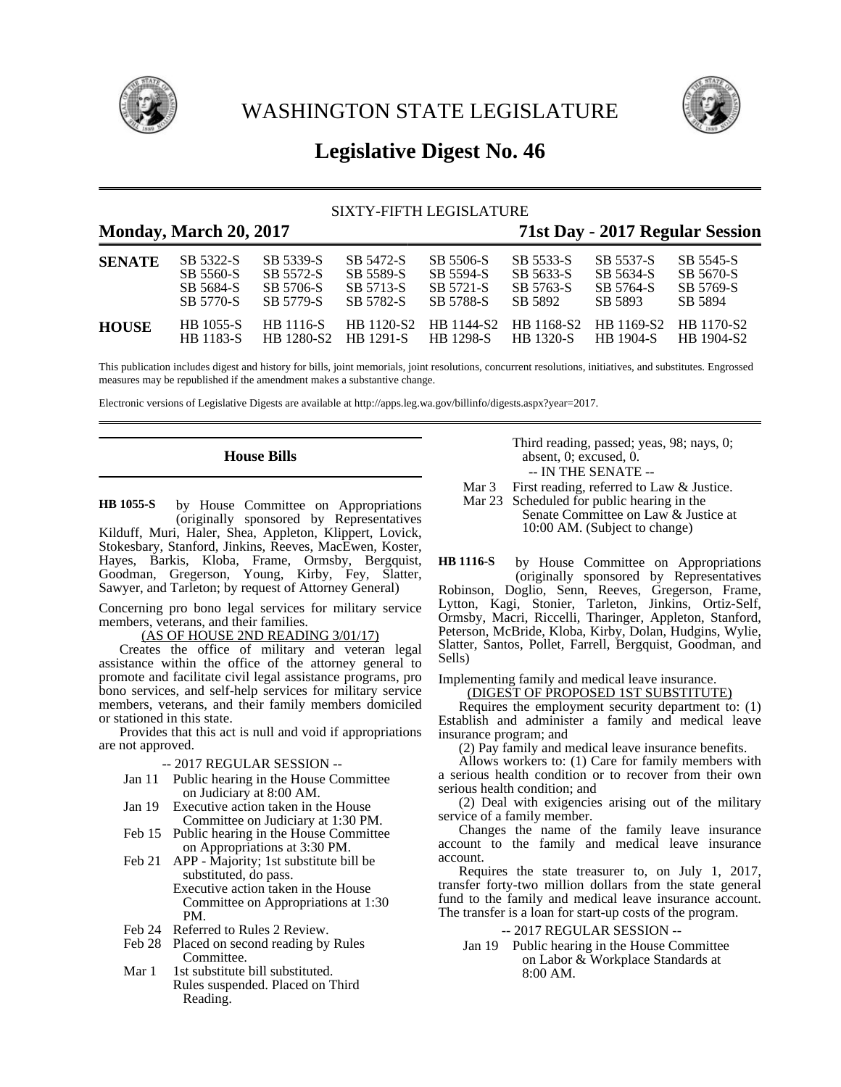

WASHINGTON STATE LEGISLATURE



# **Legislative Digest No. 46**

## SIXTY-FIFTH LEGISLATURE

## **Monday, March 20, 2017 71st Day - 2017 Regular Session**

| <b>SENATE</b> | SB 5322-S                            | SB 5339-S               | SB 5472-S        | SB 5506-S                                 | SB 5533-S                                            | SB 5537-S        | SB 5545-S  |
|---------------|--------------------------------------|-------------------------|------------------|-------------------------------------------|------------------------------------------------------|------------------|------------|
|               | SB 5560-S                            | SB 5572-S               | SB 5589-S        | SB 5594-S                                 | SB 5633-S                                            | SB 5634-S        | SB 5670-S  |
|               | SB 5684-S                            | SB 5706-S               | SB 5713-S        | SB 5721-S                                 | SB 5763-S                                            | SB 5764-S        | SB 5769-S  |
|               | SB 5770-S                            | SB 5779-S               | SB 5782-S        | SB 5788-S                                 | SB 5892                                              | SB 5893          | SB 5894    |
| <b>HOUSE</b>  | <b>HB</b> 1055-S<br><b>HB</b> 1183-S | HR 1116-S<br>HB 1280-S2 | <b>HR</b> 1291-S | HB 1120-S2 HB 1144-S2<br><b>HB</b> 1298-S | HB 1168-S2 HB 1169-S2 HB 1170-S2<br><b>HR</b> 1320-S | <b>HR</b> 1904-S | HB 1904-S2 |

This publication includes digest and history for bills, joint memorials, joint resolutions, concurrent resolutions, initiatives, and substitutes. Engrossed measures may be republished if the amendment makes a substantive change.

Electronic versions of Legislative Digests are available at http://apps.leg.wa.gov/billinfo/digests.aspx?year=2017.

## **House Bills**

by House Committee on Appropriations (originally sponsored by Representatives Kilduff, Muri, Haler, Shea, Appleton, Klippert, Lovick, Stokesbary, Stanford, Jinkins, Reeves, MacEwen, Koster, Hayes, Barkis, Kloba, Frame, Ormsby, Bergquist, Goodman, Gregerson, Young, Kirby, Fey, Slatter, Sawyer, and Tarleton; by request of Attorney General) **HB 1055-S**

Concerning pro bono legal services for military service members, veterans, and their families.

## (AS OF HOUSE 2ND READING 3/01/17)

Creates the office of military and veteran legal assistance within the office of the attorney general to promote and facilitate civil legal assistance programs, pro bono services, and self-help services for military service members, veterans, and their family members domiciled or stationed in this state.

Provides that this act is null and void if appropriations are not approved.

- -- 2017 REGULAR SESSION --
- Jan 11 Public hearing in the House Committee on Judiciary at 8:00 AM.
- Jan 19 Executive action taken in the House Committee on Judiciary at 1:30 PM.
- Feb 15 Public hearing in the House Committee on Appropriations at 3:30 PM.
- Feb 21 APP Majority; 1st substitute bill be substituted, do pass. Executive action taken in the House Committee on Appropriations at 1:30 PM.
- Feb 24 Referred to Rules 2 Review.
- Feb 28 Placed on second reading by Rules Committee.
- Mar 1 1st substitute bill substituted. Rules suspended. Placed on Third Reading.

Third reading, passed; yeas, 98; nays, 0; absent, 0; excused, 0. -- IN THE SENATE --

Mar 3 First reading, referred to Law & Justice.

Mar 23 Scheduled for public hearing in the Senate Committee on Law & Justice at 10:00 AM. (Subject to change)

by House Committee on Appropriations (originally sponsored by Representatives Robinson, Doglio, Senn, Reeves, Gregerson, Frame, Lytton, Kagi, Stonier, Tarleton, Jinkins, Ortiz-Self, Ormsby, Macri, Riccelli, Tharinger, Appleton, Stanford, Peterson, McBride, Kloba, Kirby, Dolan, Hudgins, Wylie, Slatter, Santos, Pollet, Farrell, Bergquist, Goodman, and Sells) **HB 1116-S**

#### Implementing family and medical leave insurance. (DIGEST OF PROPOSED 1ST SUBSTITUTE)

Requires the employment security department to: (1) Establish and administer a family and medical leave insurance program; and

(2) Pay family and medical leave insurance benefits.

Allows workers to: (1) Care for family members with a serious health condition or to recover from their own serious health condition; and

(2) Deal with exigencies arising out of the military service of a family member.

Changes the name of the family leave insurance account to the family and medical leave insurance account.

Requires the state treasurer to, on July 1, 2017, transfer forty-two million dollars from the state general fund to the family and medical leave insurance account. The transfer is a loan for start-up costs of the program.

-- 2017 REGULAR SESSION --

Jan 19 Public hearing in the House Committee on Labor & Workplace Standards at 8:00 AM.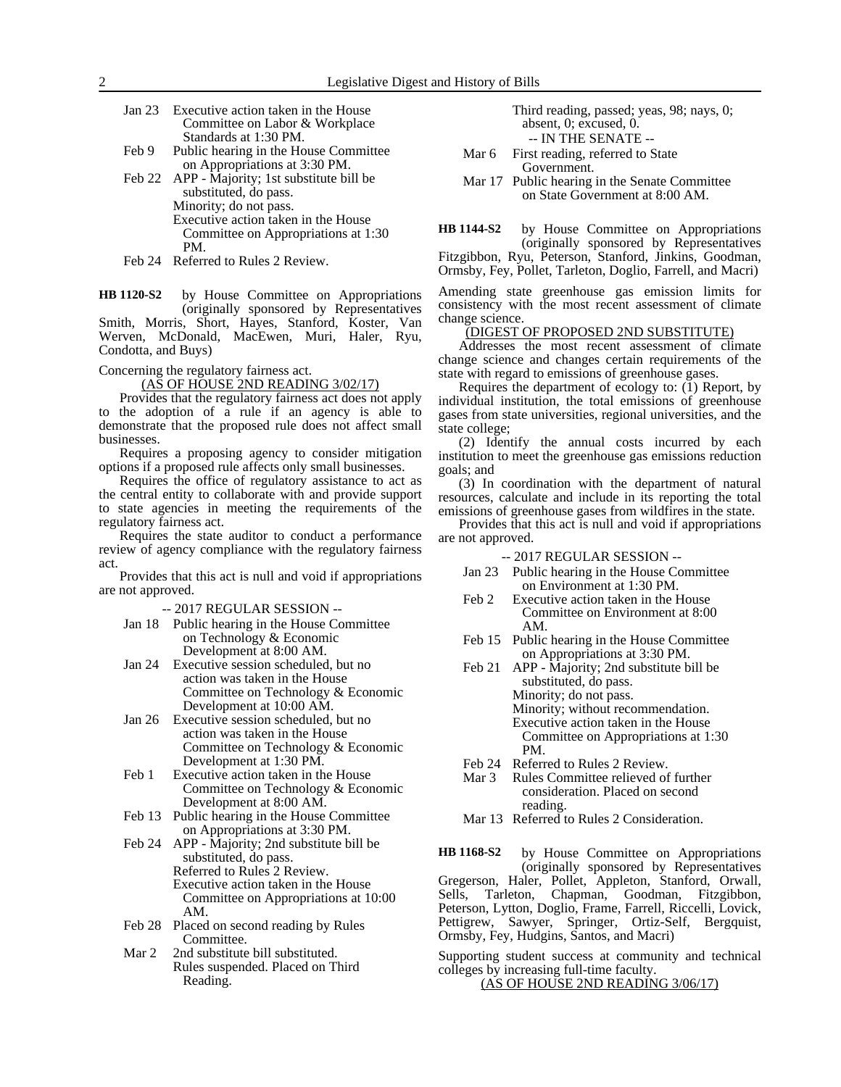- Jan 23 Executive action taken in the House Committee on Labor & Workplace Standards at 1:30 PM.
- Feb 9 Public hearing in the House Committee on Appropriations at 3:30 PM.
- Feb 22 APP Majority; 1st substitute bill be substituted, do pass. Minority; do not pass. Executive action taken in the House Committee on Appropriations at 1:30 PM.
- Feb 24 Referred to Rules 2 Review.

by House Committee on Appropriations (originally sponsored by Representatives Smith, Morris, Short, Hayes, Stanford, Koster, Van Werven, McDonald, MacEwen, Muri, Haler, Ryu, Condotta, and Buys) **HB 1120-S2**

Concerning the regulatory fairness act.

(AS OF HOUSE 2ND READING 3/02/17)

Provides that the regulatory fairness act does not apply to the adoption of a rule if an agency is able to demonstrate that the proposed rule does not affect small businesses.

Requires a proposing agency to consider mitigation options if a proposed rule affects only small businesses.

Requires the office of regulatory assistance to act as the central entity to collaborate with and provide support to state agencies in meeting the requirements of the regulatory fairness act.

Requires the state auditor to conduct a performance review of agency compliance with the regulatory fairness act.

Provides that this act is null and void if appropriations are not approved.

-- 2017 REGULAR SESSION --

- Jan 18 Public hearing in the House Committee on Technology & Economic Development at 8:00 AM.
- Jan 24 Executive session scheduled, but no action was taken in the House Committee on Technology & Economic Development at 10:00 AM.
- Jan 26 Executive session scheduled, but no action was taken in the House Committee on Technology & Economic Development at 1:30 PM.
- Feb 1 Executive action taken in the House Committee on Technology & Economic Development at 8:00 AM.
- Feb 13 Public hearing in the House Committee on Appropriations at 3:30 PM.
- Feb 24 APP Majority; 2nd substitute bill be substituted, do pass. Referred to Rules 2 Review. Executive action taken in the House Committee on Appropriations at 10:00 AM.
- Feb 28 Placed on second reading by Rules Committee.
- Mar 2 2nd substitute bill substituted. Rules suspended. Placed on Third Reading.

Third reading, passed; yeas, 98; nays, 0; absent, 0; excused, 0. -- IN THE SENATE --

- Mar 6 First reading, referred to State Government.
- Mar 17 Public hearing in the Senate Committee on State Government at 8:00 AM.

by House Committee on Appropriations (originally sponsored by Representatives Fitzgibbon, Ryu, Peterson, Stanford, Jinkins, Goodman, Ormsby, Fey, Pollet, Tarleton, Doglio, Farrell, and Macri) **HB 1144-S2**

Amending state greenhouse gas emission limits for consistency with the most recent assessment of climate change science.

#### (DIGEST OF PROPOSED 2ND SUBSTITUTE)

Addresses the most recent assessment of climate change science and changes certain requirements of the state with regard to emissions of greenhouse gases.

Requires the department of ecology to: (1) Report, by individual institution, the total emissions of greenhouse gases from state universities, regional universities, and the state college;

(2) Identify the annual costs incurred by each institution to meet the greenhouse gas emissions reduction goals; and

(3) In coordination with the department of natural resources, calculate and include in its reporting the total emissions of greenhouse gases from wildfires in the state.

Provides that this act is null and void if appropriations are not approved.

#### -- 2017 REGULAR SESSION --

- Jan 23 Public hearing in the House Committee on Environment at 1:30 PM.
- Feb 2 Executive action taken in the House Committee on Environment at 8:00 AM.
- Feb 15 Public hearing in the House Committee on Appropriations at 3:30 PM.
- Feb 21 APP Majority; 2nd substitute bill be substituted, do pass. Minority; do not pass. Minority; without recommendation. Executive action taken in the House Committee on Appropriations at 1:30 PM.
- Feb 24 Referred to Rules 2 Review.
- Mar 3 Rules Committee relieved of further consideration. Placed on second reading.
- Mar 13 Referred to Rules 2 Consideration.

by House Committee on Appropriations (originally sponsored by Representatives Gregerson, Haler, Pollet, Appleton, Stanford, Orwall, Sells, Tarleton, Chapman, Goodman, Fitzgibbon, Peterson, Lytton, Doglio, Frame, Farrell, Riccelli, Lovick, Pettigrew, Sawyer, Springer, Ortiz-Self, Bergquist, Ormsby, Fey, Hudgins, Santos, and Macri) **HB 1168-S2**

Supporting student success at community and technical colleges by increasing full-time faculty. (AS OF HOUSE 2ND READING 3/06/17)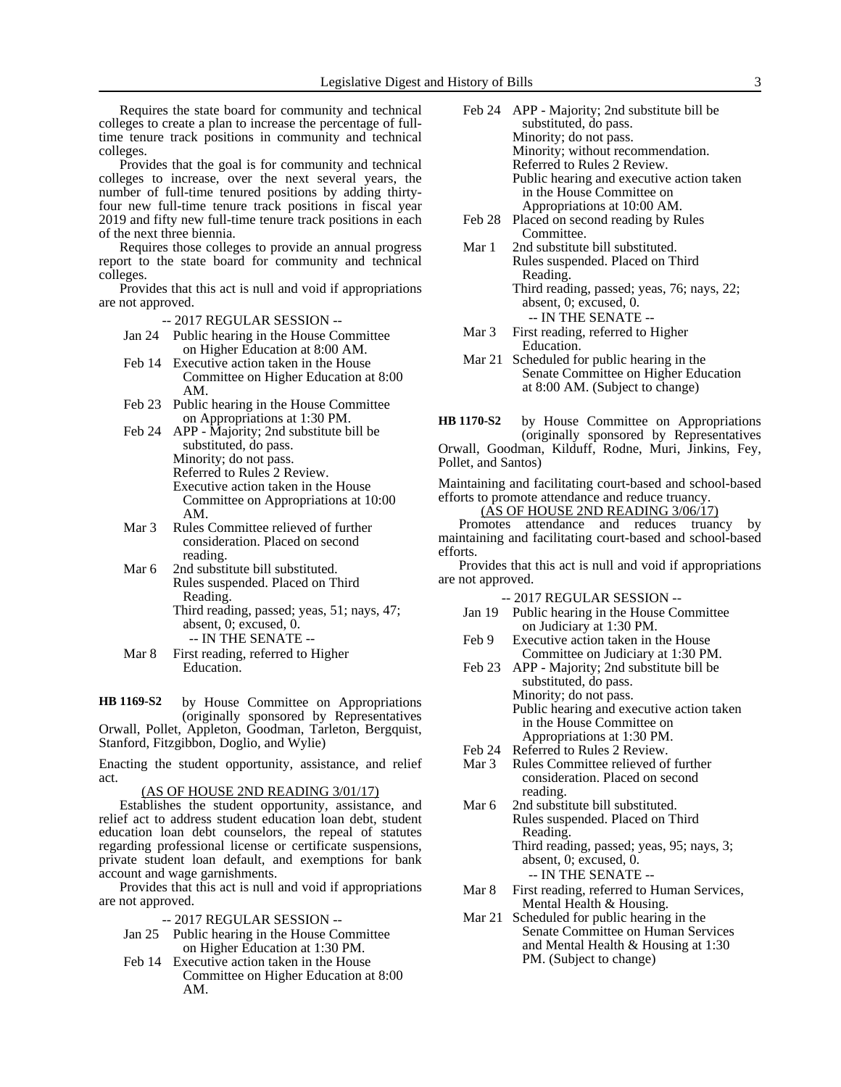Requires the state board for community and technical colleges to create a plan to increase the percentage of fulltime tenure track positions in community and technical colleges.

Provides that the goal is for community and technical colleges to increase, over the next several years, the number of full-time tenured positions by adding thirtyfour new full-time tenure track positions in fiscal year 2019 and fifty new full-time tenure track positions in each of the next three biennia.

Requires those colleges to provide an annual progress report to the state board for community and technical colleges.

Provides that this act is null and void if appropriations are not approved.

-- 2017 REGULAR SESSION --

- Jan 24 Public hearing in the House Committee on Higher Education at 8:00 AM.
- Feb 14 Executive action taken in the House Committee on Higher Education at 8:00 AM.
- Feb 23 Public hearing in the House Committee on Appropriations at 1:30 PM.

Feb 24 APP - Majority; 2nd substitute bill be substituted, do pass. Minority; do not pass. Referred to Rules 2 Review. Executive action taken in the House Committee on Appropriations at 10:00 AM.

- Mar 3 Rules Committee relieved of further consideration. Placed on second reading.
- Mar 6 2nd substitute bill substituted. Rules suspended. Placed on Third Reading.
	- Third reading, passed; yeas, 51; nays, 47; absent, 0; excused, 0. -- IN THE SENATE --
	-
- Mar 8 First reading, referred to Higher Education.

by House Committee on Appropriations (originally sponsored by Representatives Orwall, Pollet, Appleton, Goodman, Tarleton, Bergquist, Stanford, Fitzgibbon, Doglio, and Wylie) **HB 1169-S2**

Enacting the student opportunity, assistance, and relief act.

#### (AS OF HOUSE 2ND READING 3/01/17)

Establishes the student opportunity, assistance, and relief act to address student education loan debt, student education loan debt counselors, the repeal of statutes regarding professional license or certificate suspensions, private student loan default, and exemptions for bank account and wage garnishments.

Provides that this act is null and void if appropriations are not approved.

- -- 2017 REGULAR SESSION --
- Jan 25 Public hearing in the House Committee on Higher Education at 1:30 PM.
- Feb 14 Executive action taken in the House Committee on Higher Education at 8:00 AM.
- Feb 24 APP Majority; 2nd substitute bill be substituted, do pass. Minority; do not pass. Minority; without recommendation. Referred to Rules 2 Review. Public hearing and executive action taken in the House Committee on Appropriations at 10:00 AM.
- Feb 28 Placed on second reading by Rules Committee.
- Mar 1 2nd substitute bill substituted. Rules suspended. Placed on Third Reading. Third reading, passed; yeas, 76; nays, 22; absent, 0; excused, 0.
	- -- IN THE SENATE --
- Mar 3 First reading, referred to Higher Education.
- Mar 21 Scheduled for public hearing in the Senate Committee on Higher Education at 8:00 AM. (Subject to change)
- by House Committee on Appropriations (originally sponsored by Representatives Orwall, Goodman, Kilduff, Rodne, Muri, Jinkins, Fey, Pollet, and Santos) **HB 1170-S2**

Maintaining and facilitating court-based and school-based efforts to promote attendance and reduce truancy.

(AS OF HOUSE 2ND READING 3/06/17)

Promotes attendance and reduces truancy by maintaining and facilitating court-based and school-based efforts.

Provides that this act is null and void if appropriations are not approved.

- Jan 19 Public hearing in the House Committee on Judiciary at 1:30 PM.
- Feb 9 Executive action taken in the House Committee on Judiciary at 1:30 PM.
- Feb 23 APP Majority; 2nd substitute bill be substituted, do pass. Minority; do not pass. Public hearing and executive action taken in the House Committee on Appropriations at 1:30 PM.
- Feb 24 Referred to Rules 2 Review.
- Mar 3 Rules Committee relieved of further consideration. Placed on second reading.
- Mar 6 2nd substitute bill substituted. Rules suspended. Placed on Third Reading. Third reading, passed; yeas, 95; nays, 3; absent, 0; excused, 0. -- IN THE SENATE --
- Mar 8 First reading, referred to Human Services, Mental Health & Housing.
- Mar 21 Scheduled for public hearing in the Senate Committee on Human Services and Mental Health & Housing at 1:30 PM. (Subject to change)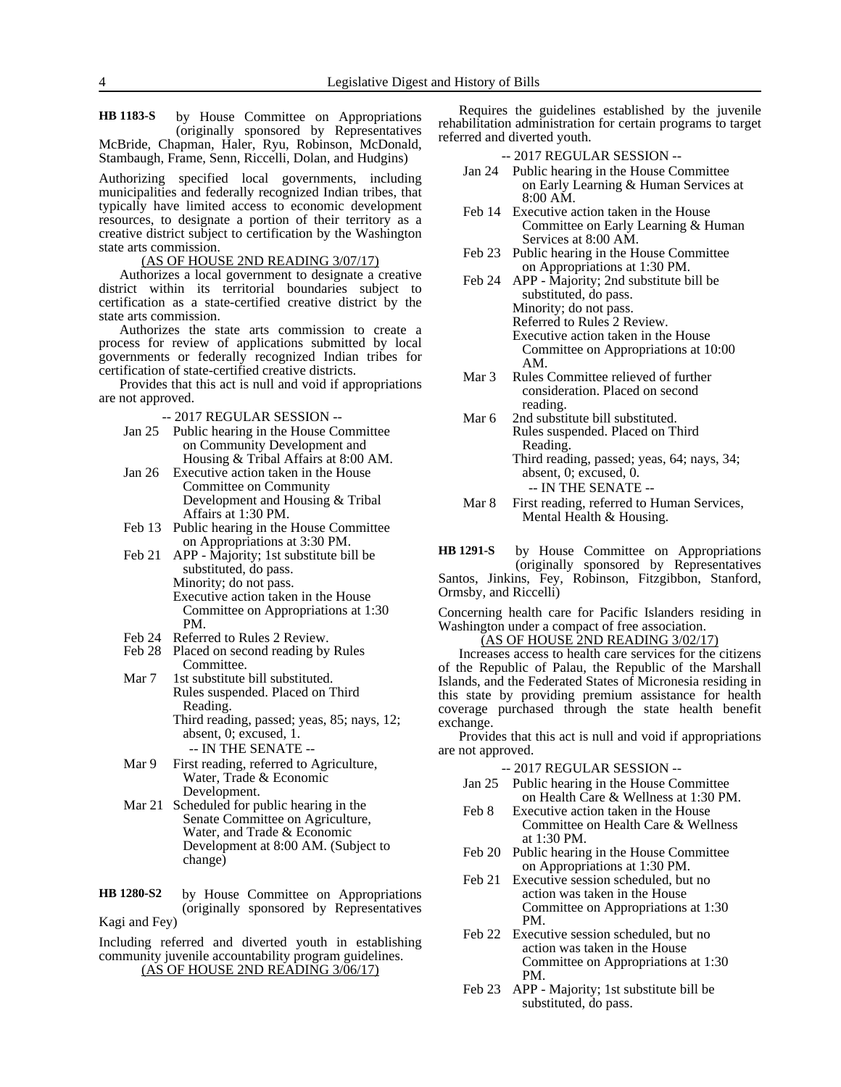by House Committee on Appropriations (originally sponsored by Representatives McBride, Chapman, Haler, Ryu, Robinson, McDonald, Stambaugh, Frame, Senn, Riccelli, Dolan, and Hudgins) **HB 1183-S**

Authorizing specified local governments, including municipalities and federally recognized Indian tribes, that typically have limited access to economic development resources, to designate a portion of their territory as a creative district subject to certification by the Washington state arts commission.

(AS OF HOUSE 2ND READING 3/07/17)

Authorizes a local government to designate a creative district within its territorial boundaries subject to certification as a state-certified creative district by the state arts commission.

Authorizes the state arts commission to create a process for review of applications submitted by local governments or federally recognized Indian tribes for certification of state-certified creative districts.

Provides that this act is null and void if appropriations are not approved.

-- 2017 REGULAR SESSION --

- Jan 25 Public hearing in the House Committee on Community Development and Housing & Tribal Affairs at 8:00 AM.
- Jan 26 Executive action taken in the House Committee on Community Development and Housing & Tribal Affairs at 1:30 PM.
- Feb 13 Public hearing in the House Committee on Appropriations at 3:30 PM.
- Feb 21 APP Majority; 1st substitute bill be substituted, do pass. Minority; do not pass. Executive action taken in the House Committee on Appropriations at 1:30
- PM. Feb 24 Referred to Rules 2 Review.
- Feb 28 Placed on second reading by Rules Committee.
- Mar 7 1st substitute bill substituted. Rules suspended. Placed on Third Reading. Third reading, passed; yeas, 85; nays, 12; absent, 0; excused, 1.
- -- IN THE SENATE -- Mar 9 First reading, referred to Agriculture, Water, Trade & Economic Development.
- Mar 21 Scheduled for public hearing in the Senate Committee on Agriculture, Water, and Trade & Economic Development at 8:00 AM. (Subject to change)

by House Committee on Appropriations (originally sponsored by Representatives Kagi and Fey) **HB 1280-S2**

Including referred and diverted youth in establishing community juvenile accountability program guidelines. (AS OF HOUSE 2ND READING 3/06/17)

Requires the guidelines established by the juvenile rehabilitation administration for certain programs to target referred and diverted youth.

-- 2017 REGULAR SESSION --

- Jan 24 Public hearing in the House Committee on Early Learning & Human Services at 8:00 AM.
- Feb 14 Executive action taken in the House Committee on Early Learning & Human Services at 8:00 AM.
- Feb 23 Public hearing in the House Committee on Appropriations at 1:30 PM.
- Feb 24 APP Majority; 2nd substitute bill be substituted, do pass. Minority; do not pass. Referred to Rules 2 Review. Executive action taken in the House Committee on Appropriations at 10:00 AM.
- Mar 3 Rules Committee relieved of further consideration. Placed on second reading.
- Mar 6 2nd substitute bill substituted. Rules suspended. Placed on Third Reading. Third reading, passed; yeas, 64; nays, 34; absent, 0; excused, 0. -- IN THE SENATE --
- Mar 8 First reading, referred to Human Services, Mental Health & Housing.

by House Committee on Appropriations (originally sponsored by Representatives **HB 1291-S**

Santos, Jinkins, Fey, Robinson, Fitzgibbon, Stanford, Ormsby, and Riccelli)

Concerning health care for Pacific Islanders residing in Washington under a compact of free association.

(AS OF HOUSE 2ND READING 3/02/17) Increases access to health care services for the citizens

of the Republic of Palau, the Republic of the Marshall Islands, and the Federated States of Micronesia residing in this state by providing premium assistance for health coverage purchased through the state health benefit exchange.

Provides that this act is null and void if appropriations are not approved.

- Jan 25 Public hearing in the House Committee on Health Care & Wellness at 1:30 PM.
- Feb 8 Executive action taken in the House Committee on Health Care & Wellness at 1:30 PM.
- Feb 20 Public hearing in the House Committee on Appropriations at 1:30 PM.
- Feb 21 Executive session scheduled, but no action was taken in the House Committee on Appropriations at 1:30 PM.
- Feb 22 Executive session scheduled, but no action was taken in the House Committee on Appropriations at 1:30 PM.
- Feb 23 APP Majority; 1st substitute bill be substituted, do pass.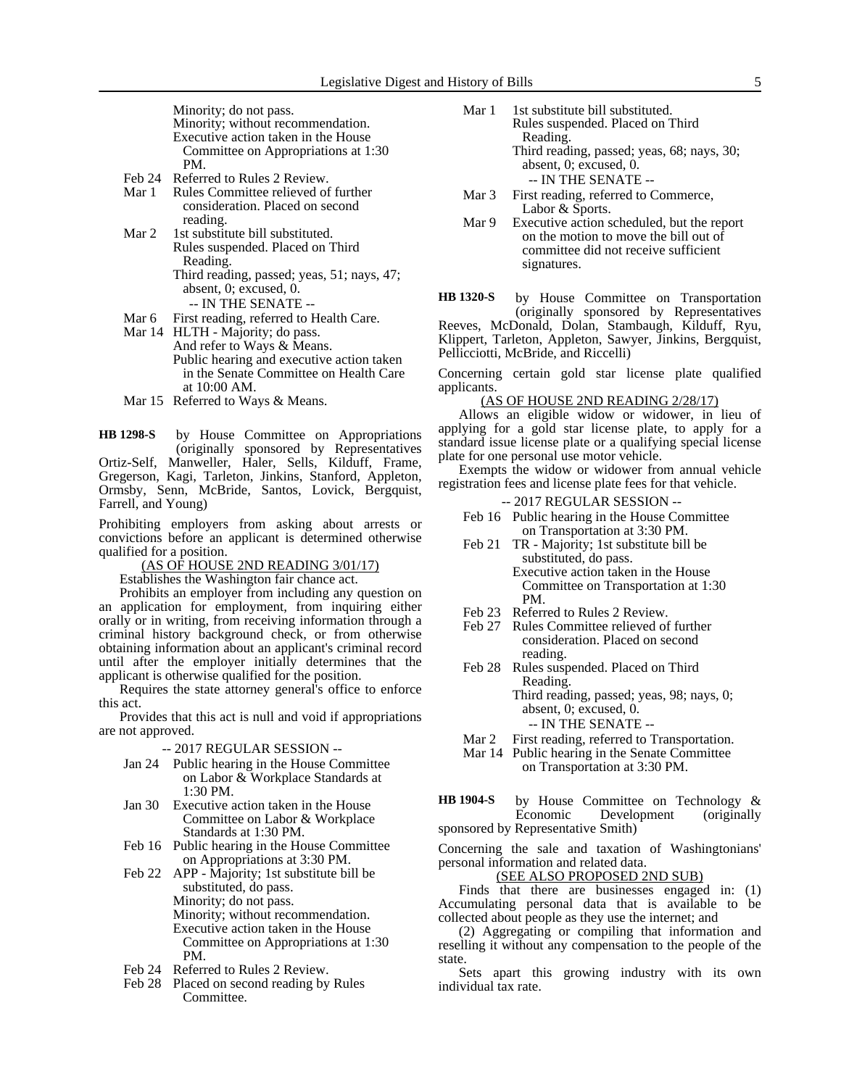Minority; do not pass.

Minority; without recommendation. Executive action taken in the House Committee on Appropriations at 1:30 PM.

- Feb 24 Referred to Rules 2 Review.
- Mar 1 Rules Committee relieved of further consideration. Placed on second reading.
- Mar 2 1st substitute bill substituted. Rules suspended. Placed on Third Reading. Third reading, passed; yeas, 51; nays, 47; absent, 0; excused, 0.
	- -- IN THE SENATE --
- Mar 6 First reading, referred to Health Care.
- Mar 14 HLTH Majority; do pass. And refer to Ways & Means. Public hearing and executive action taken in the Senate Committee on Health Care at 10:00 AM.
- Mar 15 Referred to Ways & Means.

by House Committee on Appropriations (originally sponsored by Representatives Ortiz-Self, Manweller, Haler, Sells, Kilduff, Frame, Gregerson, Kagi, Tarleton, Jinkins, Stanford, Appleton, Ormsby, Senn, McBride, Santos, Lovick, Bergquist, Farrell, and Young) **HB 1298-S**

Prohibiting employers from asking about arrests or convictions before an applicant is determined otherwise qualified for a position.

(AS OF HOUSE 2ND READING 3/01/17)

Establishes the Washington fair chance act.

Prohibits an employer from including any question on an application for employment, from inquiring either orally or in writing, from receiving information through a criminal history background check, or from otherwise obtaining information about an applicant's criminal record until after the employer initially determines that the applicant is otherwise qualified for the position.

Requires the state attorney general's office to enforce this act.

Provides that this act is null and void if appropriations are not approved.

-- 2017 REGULAR SESSION --

- Jan 24 Public hearing in the House Committee on Labor & Workplace Standards at 1:30 PM.
- Jan 30 Executive action taken in the House Committee on Labor & Workplace Standards at 1:30 PM.
- Feb 16 Public hearing in the House Committee on Appropriations at 3:30 PM.
- Feb 22 APP Majority; 1st substitute bill be substituted, do pass. Minority; do not pass. Minority; without recommendation. Executive action taken in the House Committee on Appropriations at 1:30 PM.
- Feb 24 Referred to Rules 2 Review.
- Feb 28 Placed on second reading by Rules Committee.
- Mar 1 1st substitute bill substituted. Rules suspended. Placed on Third Reading. Third reading, passed; yeas, 68; nays, 30;
	- absent, 0; excused, 0. -- IN THE SENATE --
- Mar 3 First reading, referred to Commerce, Labor & Sports.
- Mar 9 Executive action scheduled, but the report on the motion to move the bill out of committee did not receive sufficient signatures.

by House Committee on Transportation (originally sponsored by Representatives Reeves, McDonald, Dolan, Stambaugh, Kilduff, Ryu, Klippert, Tarleton, Appleton, Sawyer, Jinkins, Bergquist, Pellicciotti, McBride, and Riccelli) **HB 1320-S**

Concerning certain gold star license plate qualified applicants.

(AS OF HOUSE 2ND READING 2/28/17)

Allows an eligible widow or widower, in lieu of applying for a gold star license plate, to apply for a standard issue license plate or a qualifying special license plate for one personal use motor vehicle.

Exempts the widow or widower from annual vehicle registration fees and license plate fees for that vehicle.

-- 2017 REGULAR SESSION --

- Feb 16 Public hearing in the House Committee on Transportation at 3:30 PM.
- Feb 21 TR Majority; 1st substitute bill be substituted, do pass. Executive action taken in the House Committee on Transportation at 1:30
- PM.
- Feb 23 Referred to Rules 2 Review. Feb 27 Rules Committee relieved of further consideration. Placed on second
- reading.
- Feb 28 Rules suspended. Placed on Third Reading.
	- Third reading, passed; yeas, 98; nays, 0; absent, 0; excused, 0.

-- IN THE SENATE --

- Mar 2 First reading, referred to Transportation. Mar 14 Public hearing in the Senate Committee
	- on Transportation at 3:30 PM.

by House Committee on Technology &<br>Economic Development (originally Development sponsored by Representative Smith) **HB 1904-S**

Concerning the sale and taxation of Washingtonians' personal information and related data.

## (SEE ALSO PROPOSED 2ND SUB)

Finds that there are businesses engaged in: (1) Accumulating personal data that is available to be collected about people as they use the internet; and

(2) Aggregating or compiling that information and reselling it without any compensation to the people of the state.

Sets apart this growing industry with its own individual tax rate.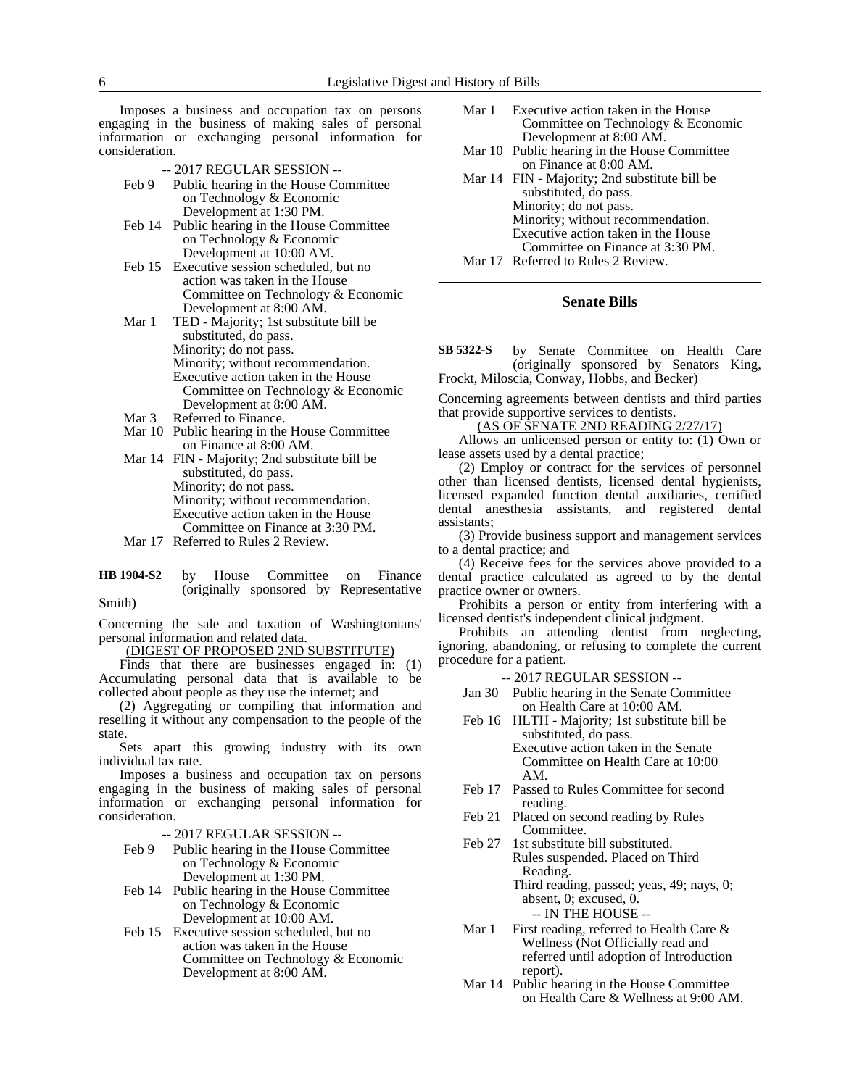Imposes a business and occupation tax on persons engaging in the business of making sales of personal information or exchanging personal information for consideration.

- -- 2017 REGULAR SESSION --
- Feb 9 Public hearing in the House Committee on Technology & Economic Development at 1:30 PM.
- Feb 14 Public hearing in the House Committee on Technology & Economic Development at 10:00 AM.
- Feb 15 Executive session scheduled, but no action was taken in the House Committee on Technology & Economic Development at 8:00 AM.
- Mar 1 TED Majority; 1st substitute bill be substituted, do pass. Minority; do not pass. Minority; without recommendation. Executive action taken in the House Committee on Technology & Economic Development at 8:00 AM.
- Mar 3 Referred to Finance.
- Mar 10 Public hearing in the House Committee on Finance at 8:00 AM.
- Mar 14 FIN Majority; 2nd substitute bill be substituted, do pass. Minority; do not pass. Minority; without recommendation. Executive action taken in the House Committee on Finance at 3:30 PM.
- Mar 17 Referred to Rules 2 Review.
- by House Committee on Finance (originally sponsored by Representative Smith) **HB 1904-S2**

Concerning the sale and taxation of Washingtonians' personal information and related data.

(DIGEST OF PROPOSED 2ND SUBSTITUTE)

Finds that there are businesses engaged in: (1) Accumulating personal data that is available to be collected about people as they use the internet; and

(2) Aggregating or compiling that information and reselling it without any compensation to the people of the state.

Sets apart this growing industry with its own individual tax rate.

Imposes a business and occupation tax on persons engaging in the business of making sales of personal information or exchanging personal information for consideration.

-- 2017 REGULAR SESSION --

- Feb 9 Public hearing in the House Committee on Technology & Economic Development at 1:30 PM.
- Feb 14 Public hearing in the House Committee on Technology & Economic Development at 10:00 AM.
- Feb 15 Executive session scheduled, but no action was taken in the House Committee on Technology & Economic Development at 8:00 AM.
- Mar 1 Executive action taken in the House Committee on Technology & Economic Development at 8:00 AM.
- Mar 10 Public hearing in the House Committee on Finance at 8:00 AM.
- Mar 14 FIN Majority; 2nd substitute bill be substituted, do pass. Minority; do not pass. Minority; without recommendation. Executive action taken in the House Committee on Finance at 3:30 PM. Mar 17 Referred to Rules 2 Review.

## **Senate Bills**

by Senate Committee on Health Care (originally sponsored by Senators King, Frockt, Miloscia, Conway, Hobbs, and Becker) **SB 5322-S**

Concerning agreements between dentists and third parties that provide supportive services to dentists.

(AS OF SENATE 2ND READING 2/27/17)

Allows an unlicensed person or entity to: (1) Own or lease assets used by a dental practice;

(2) Employ or contract for the services of personnel other than licensed dentists, licensed dental hygienists, licensed expanded function dental auxiliaries, certified dental anesthesia assistants, and registered dental assistants;

(3) Provide business support and management services to a dental practice; and

(4) Receive fees for the services above provided to a dental practice calculated as agreed to by the dental practice owner or owners.

Prohibits a person or entity from interfering with a licensed dentist's independent clinical judgment.

Prohibits an attending dentist from neglecting, ignoring, abandoning, or refusing to complete the current procedure for a patient.

-- 2017 REGULAR SESSION --

- Jan 30 Public hearing in the Senate Committee on Health Care at 10:00 AM.
- Feb 16 HLTH Majority; 1st substitute bill be substituted, do pass. Executive action taken in the Senate Committee on Health Care at 10:00 AM.
- Feb 17 Passed to Rules Committee for second reading.
- Feb 21 Placed on second reading by Rules Committee.
- Feb 27 1st substitute bill substituted. Rules suspended. Placed on Third Reading. Third reading, passed; yeas, 49; nays, 0;

absent, 0; excused, 0. -- IN THE HOUSE --

- Mar 1 First reading, referred to Health Care & Wellness (Not Officially read and referred until adoption of Introduction report).
- Mar 14 Public hearing in the House Committee on Health Care & Wellness at 9:00 AM.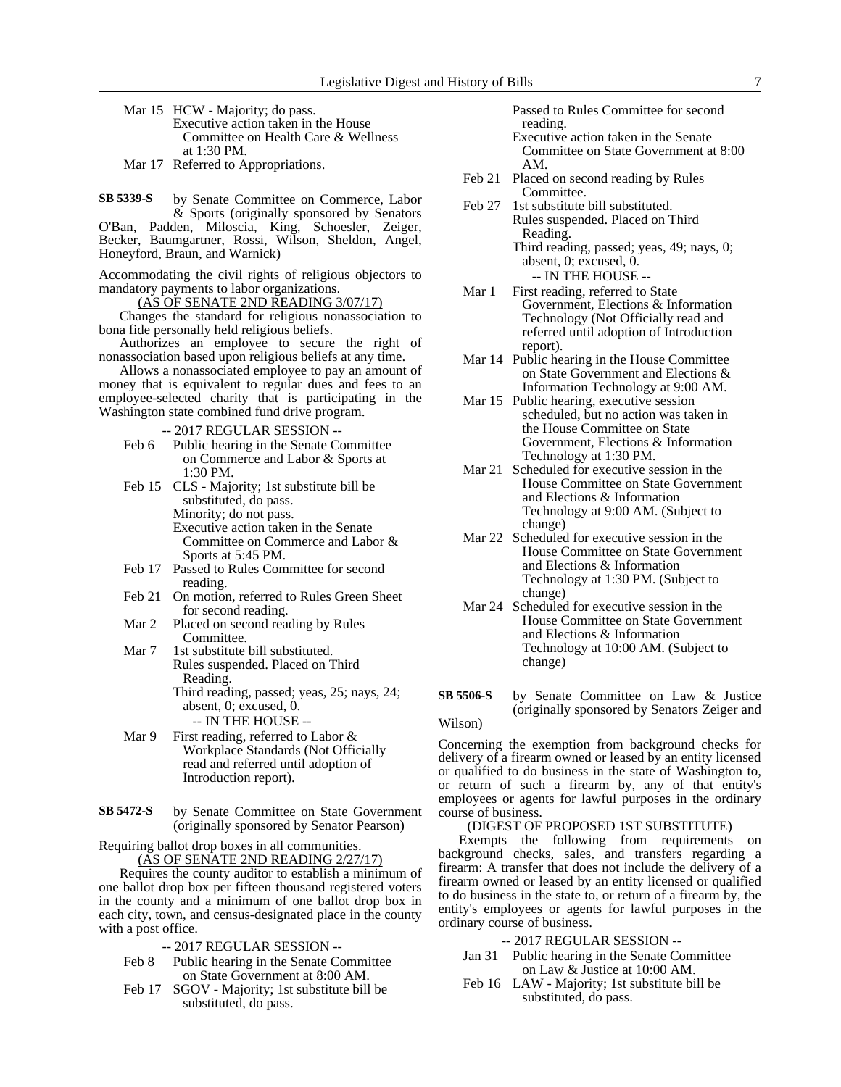- Mar 15 HCW Majority; do pass. Executive action taken in the House Committee on Health Care & Wellness at 1:30 PM.
- Mar 17 Referred to Appropriations.

by Senate Committee on Commerce, Labor & Sports (originally sponsored by Senators O'Ban, Padden, Miloscia, King, Schoesler, Zeiger, Becker, Baumgartner, Rossi, Wilson, Sheldon, Angel, Honeyford, Braun, and Warnick) **SB 5339-S**

Accommodating the civil rights of religious objectors to mandatory payments to labor organizations.

(AS OF SENATE 2ND READING 3/07/17)

Changes the standard for religious nonassociation to bona fide personally held religious beliefs.

Authorizes an employee to secure the right of nonassociation based upon religious beliefs at any time.

Allows a nonassociated employee to pay an amount of money that is equivalent to regular dues and fees to an employee-selected charity that is participating in the Washington state combined fund drive program.

-- 2017 REGULAR SESSION --

- Feb 6 Public hearing in the Senate Committee on Commerce and Labor & Sports at 1:30 PM.
- Feb 15 CLS Majority; 1st substitute bill be substituted, do pass. Minority; do not pass. Executive action taken in the Senate Committee on Commerce and Labor & Sports at 5:45 PM.
- Feb 17 Passed to Rules Committee for second reading.
- Feb 21 On motion, referred to Rules Green Sheet for second reading.
- Mar 2 Placed on second reading by Rules Committee.
- Mar 7 1st substitute bill substituted. Rules suspended. Placed on Third Reading.

Third reading, passed; yeas, 25; nays, 24; absent, 0; excused, 0. -- IN THE HOUSE --

- Mar 9 First reading, referred to Labor & Workplace Standards (Not Officially read and referred until adoption of Introduction report).
- by Senate Committee on State Government (originally sponsored by Senator Pearson) **SB 5472-S**

Requiring ballot drop boxes in all communities. (AS OF SENATE 2ND READING 2/27/17)

Requires the county auditor to establish a minimum of one ballot drop box per fifteen thousand registered voters in the county and a minimum of one ballot drop box in each city, town, and census-designated place in the county with a post office.

- -- 2017 REGULAR SESSION --
- Feb 8 Public hearing in the Senate Committee on State Government at 8:00 AM.
- Feb 17 SGOV Majority; 1st substitute bill be substituted, do pass.

Passed to Rules Committee for second reading.

- Executive action taken in the Senate Committee on State Government at 8:00 AM.
- Feb 21 Placed on second reading by Rules Committee.
- Feb 27 1st substitute bill substituted. Rules suspended. Placed on Third Reading.

Third reading, passed; yeas, 49; nays, 0; absent, 0; excused, 0. -- IN THE HOUSE --

- Mar 1 First reading, referred to State Government, Elections & Information Technology (Not Officially read and referred until adoption of Introduction report).
- Mar 14 Public hearing in the House Committee on State Government and Elections & Information Technology at 9:00 AM.
- Mar 15 Public hearing, executive session scheduled, but no action was taken in the House Committee on State Government, Elections & Information Technology at 1:30 PM.
- Mar 21 Scheduled for executive session in the House Committee on State Government and Elections & Information Technology at 9:00 AM. (Subject to change)
- Mar 22 Scheduled for executive session in the House Committee on State Government and Elections & Information Technology at 1:30 PM. (Subject to change)
- Mar 24 Scheduled for executive session in the House Committee on State Government and Elections & Information Technology at 10:00 AM. (Subject to change)
- by Senate Committee on Law & Justice (originally sponsored by Senators Zeiger and **SB 5506-S**

#### Wilson)

Concerning the exemption from background checks for delivery of a firearm owned or leased by an entity licensed or qualified to do business in the state of Washington to, or return of such a firearm by, any of that entity's employees or agents for lawful purposes in the ordinary course of business.

### (DIGEST OF PROPOSED 1ST SUBSTITUTE)

Exempts the following from requirements on background checks, sales, and transfers regarding a firearm: A transfer that does not include the delivery of a firearm owned or leased by an entity licensed or qualified to do business in the state to, or return of a firearm by, the entity's employees or agents for lawful purposes in the ordinary course of business.

- -- 2017 REGULAR SESSION --
- Jan 31 Public hearing in the Senate Committee on Law & Justice at 10:00 AM.
- Feb 16 LAW Majority; 1st substitute bill be substituted, do pass.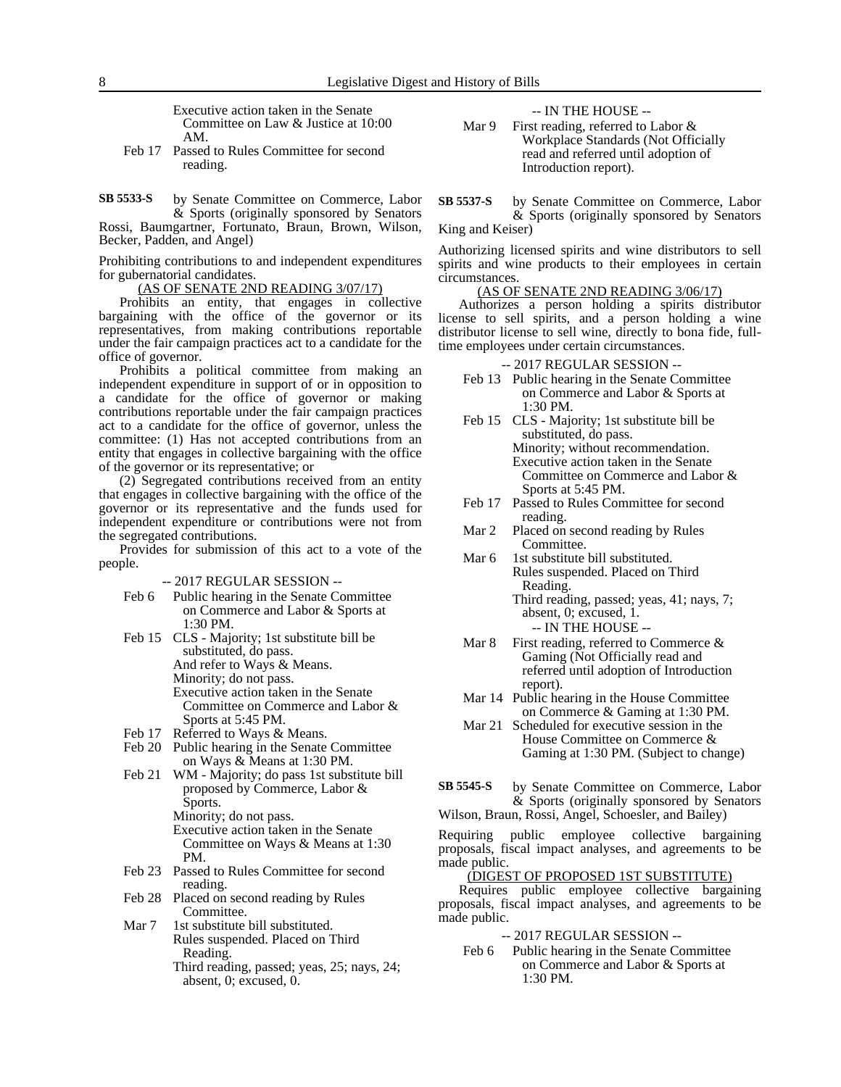Executive action taken in the Senate Committee on Law & Justice at 10:00 AM.

Feb 17 Passed to Rules Committee for second reading.

by Senate Committee on Commerce, Labor & Sports (originally sponsored by Senators Rossi, Baumgartner, Fortunato, Braun, Brown, Wilson, Becker, Padden, and Angel) **SB 5533-S**

Prohibiting contributions to and independent expenditures for gubernatorial candidates.

(AS OF SENATE 2ND READING 3/07/17)

Prohibits an entity, that engages in collective bargaining with the office of the governor or its representatives, from making contributions reportable under the fair campaign practices act to a candidate for the office of governor.

Prohibits a political committee from making an independent expenditure in support of or in opposition to a candidate for the office of governor or making contributions reportable under the fair campaign practices act to a candidate for the office of governor, unless the committee: (1) Has not accepted contributions from an entity that engages in collective bargaining with the office of the governor or its representative; or

(2) Segregated contributions received from an entity that engages in collective bargaining with the office of the governor or its representative and the funds used for independent expenditure or contributions were not from the segregated contributions.

Provides for submission of this act to a vote of the people.

-- 2017 REGULAR SESSION --

- Feb 6 Public hearing in the Senate Committee on Commerce and Labor & Sports at 1:30 PM.
- Feb 15 CLS Majority; 1st substitute bill be substituted, do pass. And refer to Ways & Means. Minority; do not pass. Executive action taken in the Senate Committee on Commerce and Labor & Sports at 5:45 PM.
- Feb 17 Referred to Ways & Means.
- Feb 20 Public hearing in the Senate Committee on Ways & Means at 1:30 PM.
- Feb 21 WM Majority; do pass 1st substitute bill proposed by Commerce, Labor & Sports.
	- Minority; do not pass. Executive action taken in the Senate Committee on Ways & Means at 1:30 PM.
- Feb 23 Passed to Rules Committee for second reading.
- Feb 28 Placed on second reading by Rules Committee.
- Mar 7 1st substitute bill substituted. Rules suspended. Placed on Third Reading.
	- Third reading, passed; yeas, 25; nays, 24; absent, 0; excused, 0.

-- IN THE HOUSE --

Mar 9 First reading, referred to Labor & Workplace Standards (Not Officially read and referred until adoption of Introduction report).

by Senate Committee on Commerce, Labor & Sports (originally sponsored by Senators **SB 5537-S**

King and Keiser)

Authorizing licensed spirits and wine distributors to sell spirits and wine products to their employees in certain circumstances.

## (AS OF SENATE 2ND READING 3/06/17)

Authorizes a person holding a spirits distributor license to sell spirits, and a person holding a wine distributor license to sell wine, directly to bona fide, fulltime employees under certain circumstances.

-- 2017 REGULAR SESSION --

- Feb 13 Public hearing in the Senate Committee on Commerce and Labor & Sports at 1:30 PM.
- Feb 15 CLS Majority; 1st substitute bill be substituted, do pass. Minority; without recommendation. Executive action taken in the Senate Committee on Commerce and Labor & Sports at 5:45 PM.
- Feb 17 Passed to Rules Committee for second reading.
- Mar 2 Placed on second reading by Rules Committee.
- Mar 6 1st substitute bill substituted. Rules suspended. Placed on Third Reading. Third reading, passed; yeas, 41; nays, 7; absent, 0; excused, 1.

-- IN THE HOUSE --

- Mar 8 First reading, referred to Commerce  $\&$ Gaming (Not Officially read and referred until adoption of Introduction report).
- Mar 14 Public hearing in the House Committee on Commerce & Gaming at 1:30 PM.
- Mar 21 Scheduled for executive session in the House Committee on Commerce & Gaming at 1:30 PM. (Subject to change)
- by Senate Committee on Commerce, Labor & Sports (originally sponsored by Senators **SB 5545-S**
- Wilson, Braun, Rossi, Angel, Schoesler, and Bailey)

Requiring public employee collective bargaining proposals, fiscal impact analyses, and agreements to be made public.

#### (DIGEST OF PROPOSED 1ST SUBSTITUTE)

Requires public employee collective bargaining proposals, fiscal impact analyses, and agreements to be made public.

-- 2017 REGULAR SESSION --

Feb 6 Public hearing in the Senate Committee on Commerce and Labor & Sports at 1:30 PM.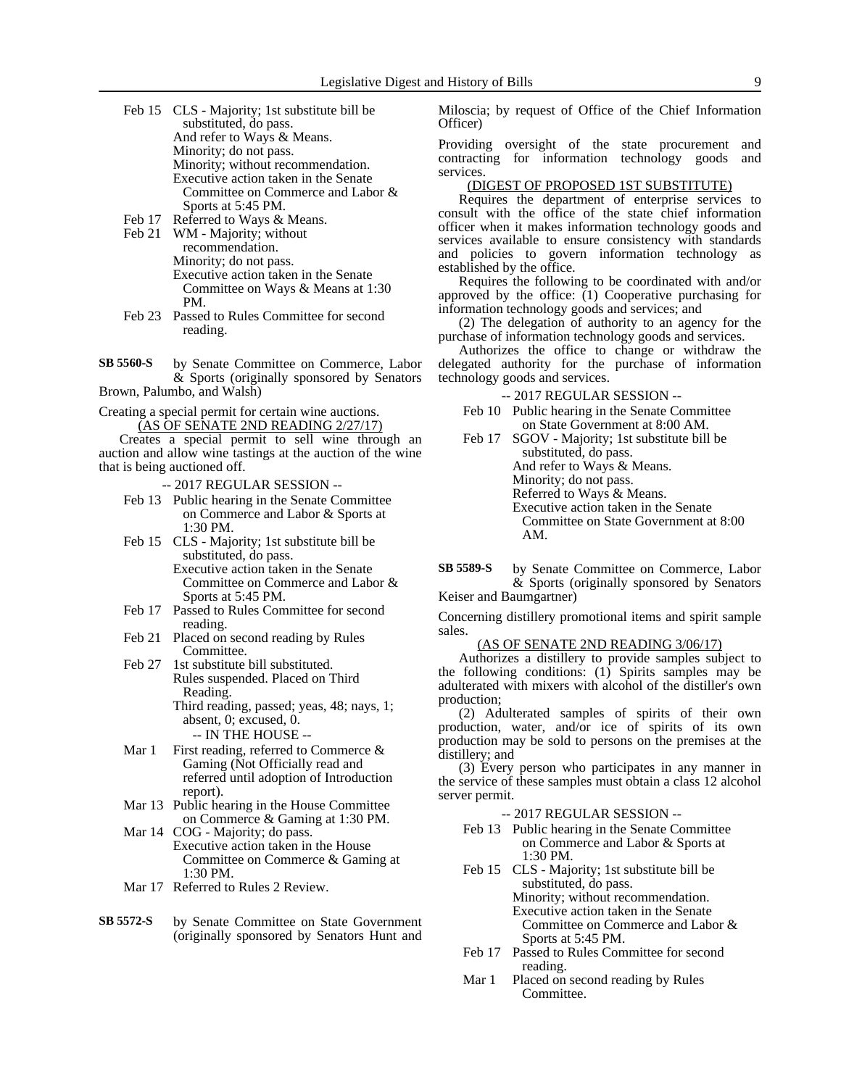- Feb 15 CLS Majority; 1st substitute bill be substituted, do pass. And refer to Ways & Means. Minority; do not pass. Minority; without recommendation. Executive action taken in the Senate Committee on Commerce and Labor & Sports at 5:45 PM. Feb 17 Referred to Ways & Means.
- Feb 21 WM Majority; without
	- recommendation. Minority; do not pass. Executive action taken in the Senate Committee on Ways & Means at 1:30 PM.
- Feb 23 Passed to Rules Committee for second reading.
- by Senate Committee on Commerce, Labor & Sports (originally sponsored by Senators Brown, Palumbo, and Walsh) **SB 5560-S**

Creating a special permit for certain wine auctions.

(AS OF SENATE 2ND READING 2/27/17)

Creates a special permit to sell wine through an auction and allow wine tastings at the auction of the wine that is being auctioned off.

-- 2017 REGULAR SESSION --

- Feb 13 Public hearing in the Senate Committee on Commerce and Labor & Sports at 1:30 PM.
- Feb 15 CLS Majority; 1st substitute bill be substituted, do pass. Executive action taken in the Senate Committee on Commerce and Labor & Sports at 5:45 PM.
- Feb 17 Passed to Rules Committee for second reading.
- Feb 21 Placed on second reading by Rules Committee.
- Feb 27 1st substitute bill substituted. Rules suspended. Placed on Third Reading. Third reading, passed; yeas, 48; nays, 1; absent, 0; excused, 0.

-- IN THE HOUSE --

- Mar 1 First reading, referred to Commerce  $\&$ Gaming (Not Officially read and referred until adoption of Introduction report).
- Mar 13 Public hearing in the House Committee on Commerce & Gaming at 1:30 PM.
- Mar 14 COG Majority; do pass. Executive action taken in the House Committee on Commerce & Gaming at 1:30 PM.
- Mar 17 Referred to Rules 2 Review.
- by Senate Committee on State Government (originally sponsored by Senators Hunt and **SB 5572-S**

Miloscia; by request of Office of the Chief Information Officer)

Providing oversight of the state procurement and contracting for information technology goods and services.

## (DIGEST OF PROPOSED 1ST SUBSTITUTE)

Requires the department of enterprise services to consult with the office of the state chief information officer when it makes information technology goods and services available to ensure consistency with standards and policies to govern information technology as established by the office.

Requires the following to be coordinated with and/or approved by the office:  $(1)$  Cooperative purchasing for information technology goods and services; and

(2) The delegation of authority to an agency for the purchase of information technology goods and services.

Authorizes the office to change or withdraw the delegated authority for the purchase of information technology goods and services.

#### -- 2017 REGULAR SESSION --

Feb 10 Public hearing in the Senate Committee on State Government at 8:00 AM.

Feb 17 SGOV - Majority; 1st substitute bill be substituted, do pass. And refer to Ways & Means. Minority; do not pass. Referred to Ways & Means. Executive action taken in the Senate Committee on State Government at 8:00 AM.

by Senate Committee on Commerce, Labor & Sports (originally sponsored by Senators **SB 5589-S**

Keiser and Baumgartner)

Concerning distillery promotional items and spirit sample sales.

#### (AS OF SENATE 2ND READING 3/06/17)

Authorizes a distillery to provide samples subject to the following conditions: (1) Spirits samples may be adulterated with mixers with alcohol of the distiller's own production;

(2) Adulterated samples of spirits of their own production, water, and/or ice of spirits of its own production may be sold to persons on the premises at the distillery; and

(3) Every person who participates in any manner in the service of these samples must obtain a class 12 alcohol server permit.

- Feb 13 Public hearing in the Senate Committee on Commerce and Labor & Sports at 1:30 PM.
- Feb 15 CLS Majority; 1st substitute bill be substituted, do pass. Minority; without recommendation. Executive action taken in the Senate Committee on Commerce and Labor & Sports at 5:45 PM.
- Feb 17 Passed to Rules Committee for second reading.
- Mar 1 Placed on second reading by Rules Committee.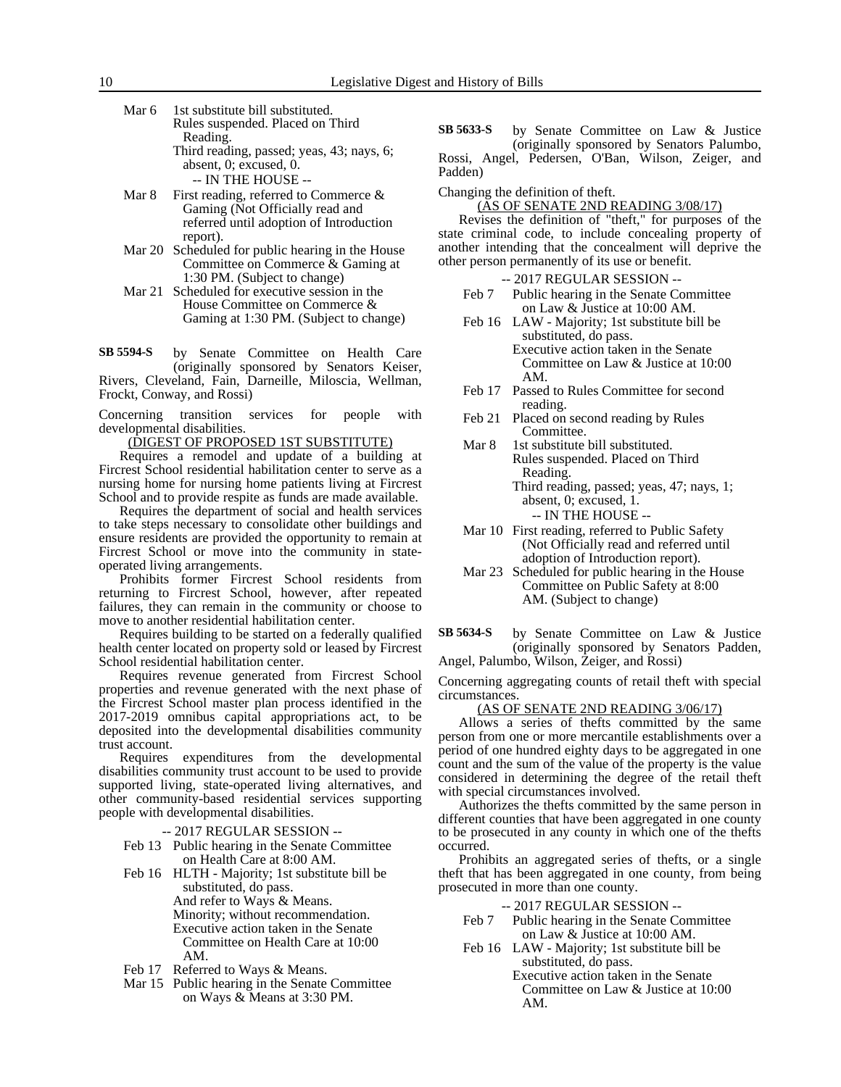- Mar 6 1st substitute bill substituted. Rules suspended. Placed on Third Reading. Third reading, passed; yeas, 43; nays, 6; absent, 0; excused, 0. -- IN THE HOUSE --
- Mar 8 First reading, referred to Commerce  $\&$ Gaming (Not Officially read and referred until adoption of Introduction report).
- Mar 20 Scheduled for public hearing in the House Committee on Commerce & Gaming at 1:30 PM. (Subject to change)
- Mar 21 Scheduled for executive session in the House Committee on Commerce & Gaming at 1:30 PM. (Subject to change)

by Senate Committee on Health Care (originally sponsored by Senators Keiser, Rivers, Cleveland, Fain, Darneille, Miloscia, Wellman, Frockt, Conway, and Rossi) **SB 5594-S**

Concerning transition services for people with developmental disabilities.

(DIGEST OF PROPOSED 1ST SUBSTITUTE)

Requires a remodel and update of a building at Fircrest School residential habilitation center to serve as a nursing home for nursing home patients living at Fircrest School and to provide respite as funds are made available.

Requires the department of social and health services to take steps necessary to consolidate other buildings and ensure residents are provided the opportunity to remain at Fircrest School or move into the community in stateoperated living arrangements.

Prohibits former Fircrest School residents from returning to Fircrest School, however, after repeated failures, they can remain in the community or choose to move to another residential habilitation center.

Requires building to be started on a federally qualified health center located on property sold or leased by Fircrest School residential habilitation center.

Requires revenue generated from Fircrest School properties and revenue generated with the next phase of the Fircrest School master plan process identified in the 2017-2019 omnibus capital appropriations act, to be deposited into the developmental disabilities community trust account.

Requires expenditures from the developmental disabilities community trust account to be used to provide supported living, state-operated living alternatives, and other community-based residential services supporting people with developmental disabilities.

-- 2017 REGULAR SESSION --

- Feb 13 Public hearing in the Senate Committee on Health Care at 8:00 AM.
- Feb 16 HLTH Majority; 1st substitute bill be substituted, do pass. And refer to Ways & Means. Minority; without recommendation. Executive action taken in the Senate Committee on Health Care at 10:00 AM.
- Feb 17 Referred to Ways & Means.
- Mar 15 Public hearing in the Senate Committee on Ways & Means at 3:30 PM.

by Senate Committee on Law & Justice (originally sponsored by Senators Palumbo, Rossi, Angel, Pedersen, O'Ban, Wilson, Zeiger, and Padden) **SB 5633-S**

Changing the definition of theft.

(AS OF SENATE 2ND READING 3/08/17)

Revises the definition of "theft," for purposes of the state criminal code, to include concealing property of another intending that the concealment will deprive the other person permanently of its use or benefit.

-- 2017 REGULAR SESSION --

- Feb 7 Public hearing in the Senate Committee on Law & Justice at 10:00 AM.
- Feb 16 LAW Majority; 1st substitute bill be substituted, do pass. Executive action taken in the Senate Committee on Law & Justice at 10:00 AM.
- Feb 17 Passed to Rules Committee for second reading.
- Feb 21 Placed on second reading by Rules Committee.
- Mar 8 1st substitute bill substituted. Rules suspended. Placed on Third Reading.
	- Third reading, passed; yeas, 47; nays, 1; absent, 0; excused, 1. -- IN THE HOUSE --
- Mar 10 First reading, referred to Public Safety (Not Officially read and referred until adoption of Introduction report).
- Mar 23 Scheduled for public hearing in the House Committee on Public Safety at 8:00 AM. (Subject to change)
- by Senate Committee on Law & Justice (originally sponsored by Senators Padden, Angel, Palumbo, Wilson, Zeiger, and Rossi) **SB 5634-S**

Concerning aggregating counts of retail theft with special circumstances.

(AS OF SENATE 2ND READING 3/06/17)

Allows a series of thefts committed by the same person from one or more mercantile establishments over a period of one hundred eighty days to be aggregated in one count and the sum of the value of the property is the value considered in determining the degree of the retail theft with special circumstances involved.

Authorizes the thefts committed by the same person in different counties that have been aggregated in one county to be prosecuted in any county in which one of the thefts occurred.

Prohibits an aggregated series of thefts, or a single theft that has been aggregated in one county, from being prosecuted in more than one county.

- Feb 7 Public hearing in the Senate Committee on Law & Justice at 10:00 AM.
- Feb 16 LAW Majority; 1st substitute bill be substituted, do pass. Executive action taken in the Senate
	- Committee on Law & Justice at 10:00 AM.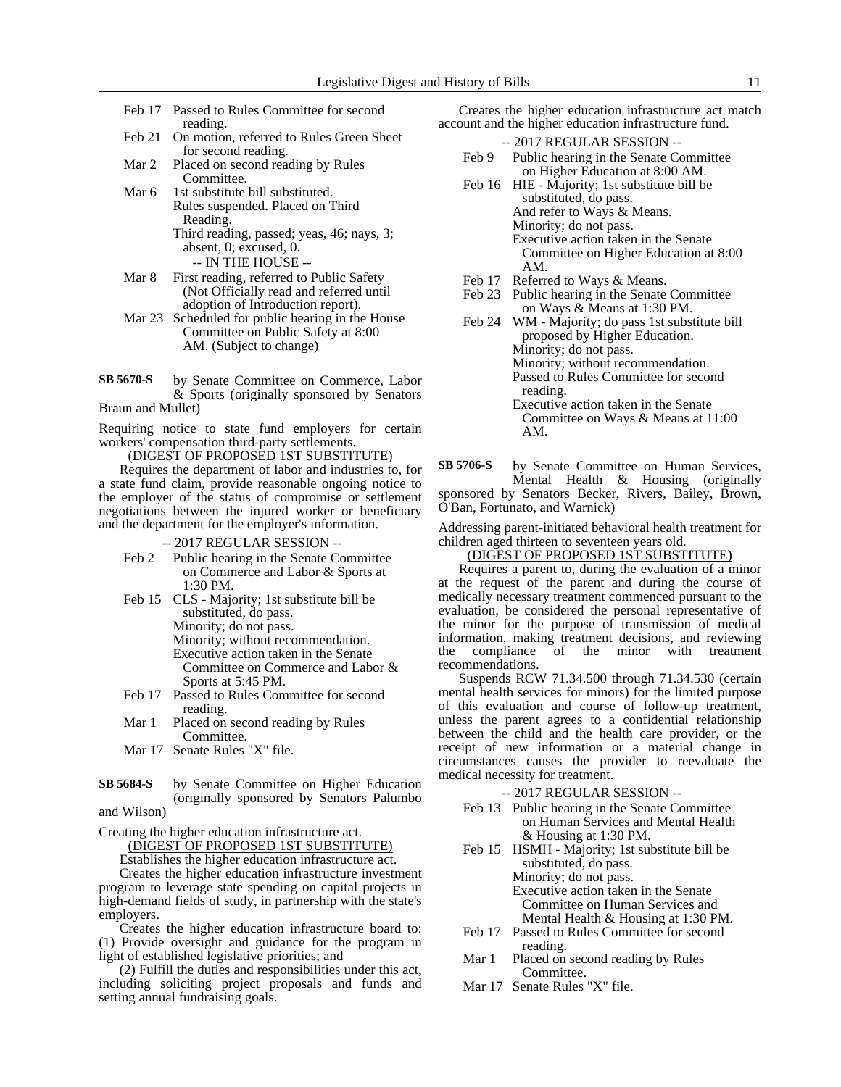- Feb 17 Passed to Rules Committee for second reading.
- Feb 21 On motion, referred to Rules Green Sheet for second reading.
- Mar 2 Placed on second reading by Rules Committee.
- Mar 6 1st substitute bill substituted. Rules suspended. Placed on Third Reading. Third reading, passed; yeas, 46; nays, 3; absent, 0; excused, 0.

-- IN THE HOUSE --

- Mar 8 First reading, referred to Public Safety (Not Officially read and referred until adoption of Introduction report).
- Mar 23 Scheduled for public hearing in the House Committee on Public Safety at 8:00 AM. (Subject to change)
- by Senate Committee on Commerce, Labor & Sports (originally sponsored by Senators **SB 5670-S**

Braun and Mullet)

Requiring notice to state fund employers for certain workers' compensation third-party settlements.

<u>(DIGEST OF PROPOSED 1ST SUBSTITUTE)</u>

Requires the department of labor and industries to, for a state fund claim, provide reasonable ongoing notice to the employer of the status of compromise or settlement negotiations between the injured worker or beneficiary and the department for the employer's information.

-- 2017 REGULAR SESSION --

- Feb 2 Public hearing in the Senate Committee on Commerce and Labor & Sports at 1:30 PM.
- Feb 15 CLS Majority; 1st substitute bill be substituted, do pass. Minority; do not pass. Minority; without recommendation. Executive action taken in the Senate Committee on Commerce and Labor & Sports at 5:45 PM.
- Feb 17 Passed to Rules Committee for second reading.
- Mar 1 Placed on second reading by Rules Committee.
- Mar 17 Senate Rules "X" file.
- by Senate Committee on Higher Education (originally sponsored by Senators Palumbo and Wilson) **SB 5684-S**
- 

Creating the higher education infrastructure act.

(DIGEST OF PROPOSED 1ST SUBSTITUTE)

Establishes the higher education infrastructure act.

Creates the higher education infrastructure investment program to leverage state spending on capital projects in high-demand fields of study, in partnership with the state's employers.

Creates the higher education infrastructure board to: (1) Provide oversight and guidance for the program in light of established legislative priorities; and

(2) Fulfill the duties and responsibilities under this act, including soliciting project proposals and funds and setting annual fundraising goals.

Creates the higher education infrastructure act match account and the higher education infrastructure fund.

- -- 2017 REGULAR SESSION -- Feb 9 Public hearing in the Senate Committee
- on Higher Education at 8:00 AM. Feb 16 HIE - Majority; 1st substitute bill be substituted, do pass. And refer to Ways & Means. Minority; do not pass. Executive action taken in the Senate Committee on Higher Education at 8:00 AM.
- Feb 17 Referred to Ways & Means.
- Feb 23 Public hearing in the Senate Committee on Ways & Means at 1:30 PM.
- Feb 24 WM Majority; do pass 1st substitute bill proposed by Higher Education. Minority; do not pass. Minority; without recommendation. Passed to Rules Committee for second reading. Executive action taken in the Senate
	- Committee on Ways & Means at 11:00 AM.
- by Senate Committee on Human Services, Mental Health & Housing (originally sponsored by Senators Becker, Rivers, Bailey, Brown, O'Ban, Fortunato, and Warnick) **SB 5706-S**

Addressing parent-initiated behavioral health treatment for children aged thirteen to seventeen years old.

(DIGEST OF PROPOSED 1ST SUBSTITUTE)

Requires a parent to, during the evaluation of a minor at the request of the parent and during the course of medically necessary treatment commenced pursuant to the evaluation, be considered the personal representative of the minor for the purpose of transmission of medical information, making treatment decisions, and reviewing the compliance of the minor with treatment recommendations.

Suspends RCW 71.34.500 through 71.34.530 (certain mental health services for minors) for the limited purpose of this evaluation and course of follow-up treatment, unless the parent agrees to a confidential relationship between the child and the health care provider, or the receipt of new information or a material change in circumstances causes the provider to reevaluate the medical necessity for treatment.

- Feb 13 Public hearing in the Senate Committee on Human Services and Mental Health & Housing at 1:30 PM.
- Feb 15 HSMH Majority; 1st substitute bill be substituted, do pass. Minority; do not pass. Executive action taken in the Senate Committee on Human Services and Mental Health & Housing at 1:30 PM.
- Feb 17 Passed to Rules Committee for second reading.
- Mar 1 Placed on second reading by Rules Committee.
- Mar 17 Senate Rules "X" file.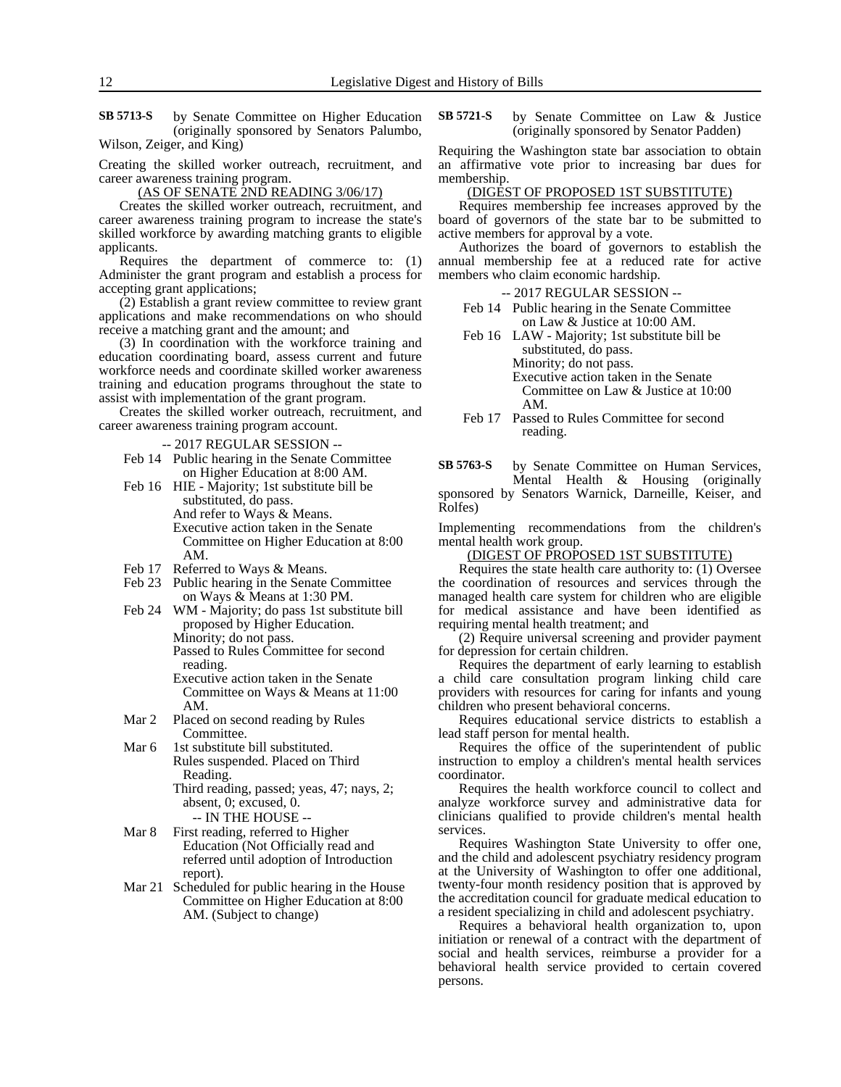**SB 5713-S** by Senate Committee on Higher Education **SB 5721-S** by Senate Committee on Law & Justice (originally sponsored by Senators Palumbo, Wilson, Zeiger, and King)

Creating the skilled worker outreach, recruitment, and career awareness training program.

(AS OF SENATE 2ND READING 3/06/17)

Creates the skilled worker outreach, recruitment, and career awareness training program to increase the state's skilled workforce by awarding matching grants to eligible applicants.

Requires the department of commerce to: (1) Administer the grant program and establish a process for accepting grant applications;

(2) Establish a grant review committee to review grant applications and make recommendations on who should receive a matching grant and the amount; and

(3) In coordination with the workforce training and education coordinating board, assess current and future workforce needs and coordinate skilled worker awareness training and education programs throughout the state to assist with implementation of the grant program.

Creates the skilled worker outreach, recruitment, and career awareness training program account.

-- 2017 REGULAR SESSION --

- Feb 14 Public hearing in the Senate Committee on Higher Education at 8:00 AM.
- Feb 16 HIE Majority; 1st substitute bill be substituted, do pass. And refer to Ways & Means. Executive action taken in the Senate Committee on Higher Education at 8:00 AM.
- Feb 17 Referred to Ways & Means.
- Feb 23 Public hearing in the Senate Committee on Ways & Means at 1:30 PM.
- Feb 24 WM Majority; do pass 1st substitute bill proposed by Higher Education. Minority; do not pass. Passed to Rules Committee for second reading. Executive action taken in the Senate Committee on Ways & Means at 11:00 AM.
- Mar 2 Placed on second reading by Rules Committee.
- Mar 6 1st substitute bill substituted. Rules suspended. Placed on Third Reading.

Third reading, passed; yeas, 47; nays, 2; absent, 0; excused, 0. -- IN THE HOUSE --

- Mar 8 First reading, referred to Higher Education (Not Officially read and referred until adoption of Introduction report).
- Mar 21 Scheduled for public hearing in the House Committee on Higher Education at 8:00 AM. (Subject to change)

(originally sponsored by Senator Padden) **SB 5721-S**

Requiring the Washington state bar association to obtain an affirmative vote prior to increasing bar dues for membership.

## (DIGEST OF PROPOSED 1ST SUBSTITUTE)

Requires membership fee increases approved by the board of governors of the state bar to be submitted to active members for approval by a vote.

Authorizes the board of governors to establish the annual membership fee at a reduced rate for active members who claim economic hardship.

-- 2017 REGULAR SESSION --

- Feb 14 Public hearing in the Senate Committee on Law & Justice at 10:00 AM.
- Feb 16 LAW Majority; 1st substitute bill be substituted, do pass. Minority; do not pass. Executive action taken in the Senate Committee on Law & Justice at 10:00 AM.
- Feb 17 Passed to Rules Committee for second reading.

by Senate Committee on Human Services, Mental Health & Housing (originally **SB 5763-S**

sponsored by Senators Warnick, Darneille, Keiser, and Rolfes)

Implementing recommendations from the children's mental health work group.

(DIGEST OF PROPOSED 1ST SUBSTITUTE)

Requires the state health care authority to: (1) Oversee the coordination of resources and services through the managed health care system for children who are eligible for medical assistance and have been identified as requiring mental health treatment; and

(2) Require universal screening and provider payment for depression for certain children.

Requires the department of early learning to establish a child care consultation program linking child care providers with resources for caring for infants and young children who present behavioral concerns.

Requires educational service districts to establish a lead staff person for mental health.

Requires the office of the superintendent of public instruction to employ a children's mental health services coordinator.

Requires the health workforce council to collect and analyze workforce survey and administrative data for clinicians qualified to provide children's mental health services.

Requires Washington State University to offer one, and the child and adolescent psychiatry residency program at the University of Washington to offer one additional, twenty-four month residency position that is approved by the accreditation council for graduate medical education to a resident specializing in child and adolescent psychiatry.

Requires a behavioral health organization to, upon initiation or renewal of a contract with the department of social and health services, reimburse a provider for a behavioral health service provided to certain covered persons.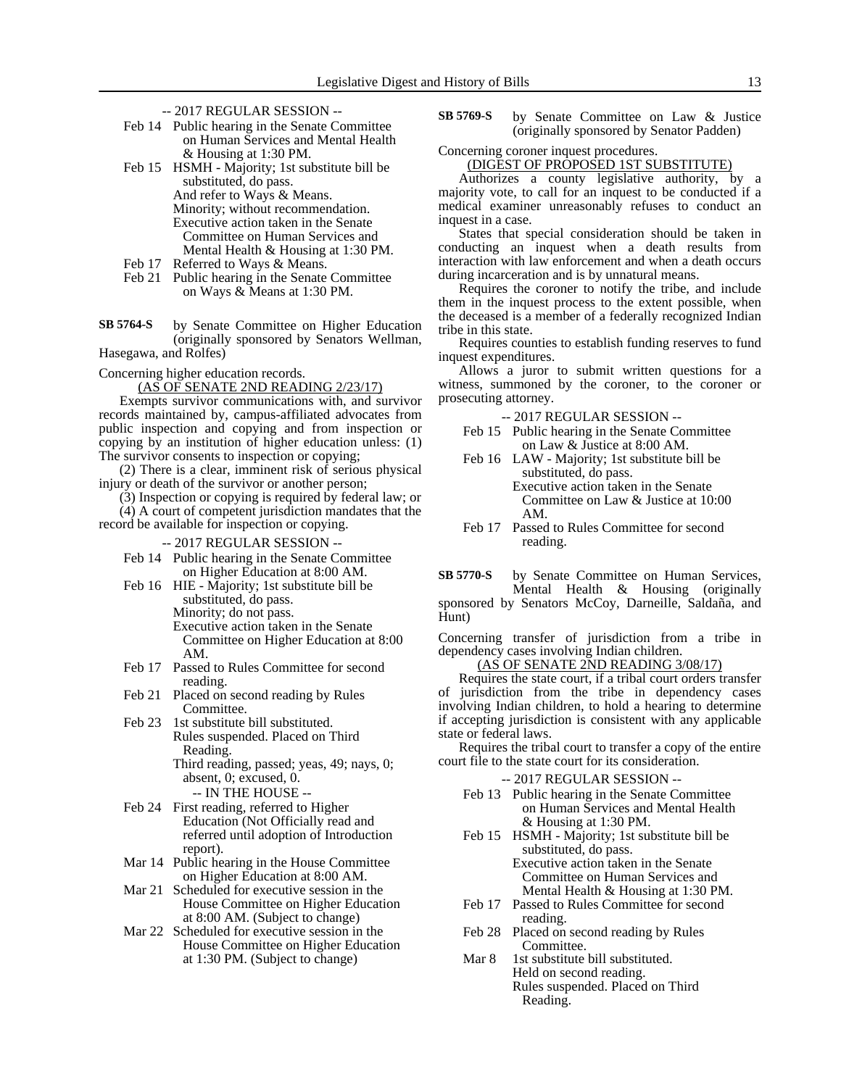- -- 2017 REGULAR SESSION --
- Feb 14 Public hearing in the Senate Committee on Human Services and Mental Health & Housing at 1:30 PM.
- Feb 15 HSMH Majority; 1st substitute bill be substituted, do pass. And refer to Ways & Means. Minority; without recommendation. Executive action taken in the Senate Committee on Human Services and Mental Health & Housing at 1:30 PM.
- Feb 17 Referred to Ways & Means.
- Feb 21 Public hearing in the Senate Committee on Ways & Means at 1:30 PM.
- by Senate Committee on Higher Education (originally sponsored by Senators Wellman, Hasegawa, and Rolfes) **SB 5764-S**
- Concerning higher education records.

(AS OF SENATE 2ND READING 2/23/17)

Exempts survivor communications with, and survivor records maintained by, campus-affiliated advocates from public inspection and copying and from inspection or copying by an institution of higher education unless: (1) The survivor consents to inspection or copying;

(2) There is a clear, imminent risk of serious physical injury or death of the survivor or another person;

(3) Inspection or copying is required by federal law; or

(4) A court of competent jurisdiction mandates that the record be available for inspection or copying.

-- 2017 REGULAR SESSION --

- Feb 14 Public hearing in the Senate Committee on Higher Education at 8:00 AM.
- Feb 16 HIE Majority; 1st substitute bill be substituted, do pass. Minority; do not pass. Executive action taken in the Senate Committee on Higher Education at 8:00 AM.
- Feb 17 Passed to Rules Committee for second reading.
- Feb 21 Placed on second reading by Rules Committee.
- Feb 23 1st substitute bill substituted. Rules suspended. Placed on Third Reading. Third reading, passed; yeas, 49; nays, 0;

absent, 0; excused, 0. -- IN THE HOUSE --

- Feb 24 First reading, referred to Higher Education (Not Officially read and referred until adoption of Introduction report).
- Mar 14 Public hearing in the House Committee on Higher Education at 8:00 AM.
- Mar 21 Scheduled for executive session in the House Committee on Higher Education at 8:00 AM. (Subject to change)
- Mar 22 Scheduled for executive session in the House Committee on Higher Education at 1:30 PM. (Subject to change)

by Senate Committee on Law & Justice (originally sponsored by Senator Padden) **SB 5769-S**

Concerning coroner inquest procedures.

## (DIGEST OF PROPOSED 1ST SUBSTITUTE)

Authorizes a county legislative authority, by a majority vote, to call for an inquest to be conducted if a medical examiner unreasonably refuses to conduct an inquest in a case.

States that special consideration should be taken in conducting an inquest when a death results from interaction with law enforcement and when a death occurs during incarceration and is by unnatural means.

Requires the coroner to notify the tribe, and include them in the inquest process to the extent possible, when the deceased is a member of a federally recognized Indian tribe in this state.

Requires counties to establish funding reserves to fund inquest expenditures.

Allows a juror to submit written questions for a witness, summoned by the coroner, to the coroner or prosecuting attorney.

-- 2017 REGULAR SESSION --

- Feb 15 Public hearing in the Senate Committee on Law & Justice at 8:00 AM.
- Feb 16 LAW Majority; 1st substitute bill be substituted, do pass. Executive action taken in the Senate

Committee on Law & Justice at 10:00 AM.

Feb 17 Passed to Rules Committee for second reading.

by Senate Committee on Human Services, Mental Health & Housing (originally sponsored by Senators McCoy, Darneille, Saldaña, and Hunt) **SB 5770-S**

Concerning transfer of jurisdiction from a tribe in dependency cases involving Indian children.

## (AS OF SENATE 2ND READING 3/08/17)

Requires the state court, if a tribal court orders transfer of jurisdiction from the tribe in dependency cases involving Indian children, to hold a hearing to determine if accepting jurisdiction is consistent with any applicable state or federal laws.

Requires the tribal court to transfer a copy of the entire court file to the state court for its consideration.

- Feb 13 Public hearing in the Senate Committee on Human Services and Mental Health & Housing at 1:30 PM.
- Feb 15 HSMH Majority; 1st substitute bill be substituted, do pass. Executive action taken in the Senate Committee on Human Services and Mental Health & Housing at 1:30 PM.
- Feb 17 Passed to Rules Committee for second reading.
- Feb 28 Placed on second reading by Rules Committee.
- Mar 8 1st substitute bill substituted. Held on second reading. Rules suspended. Placed on Third Reading.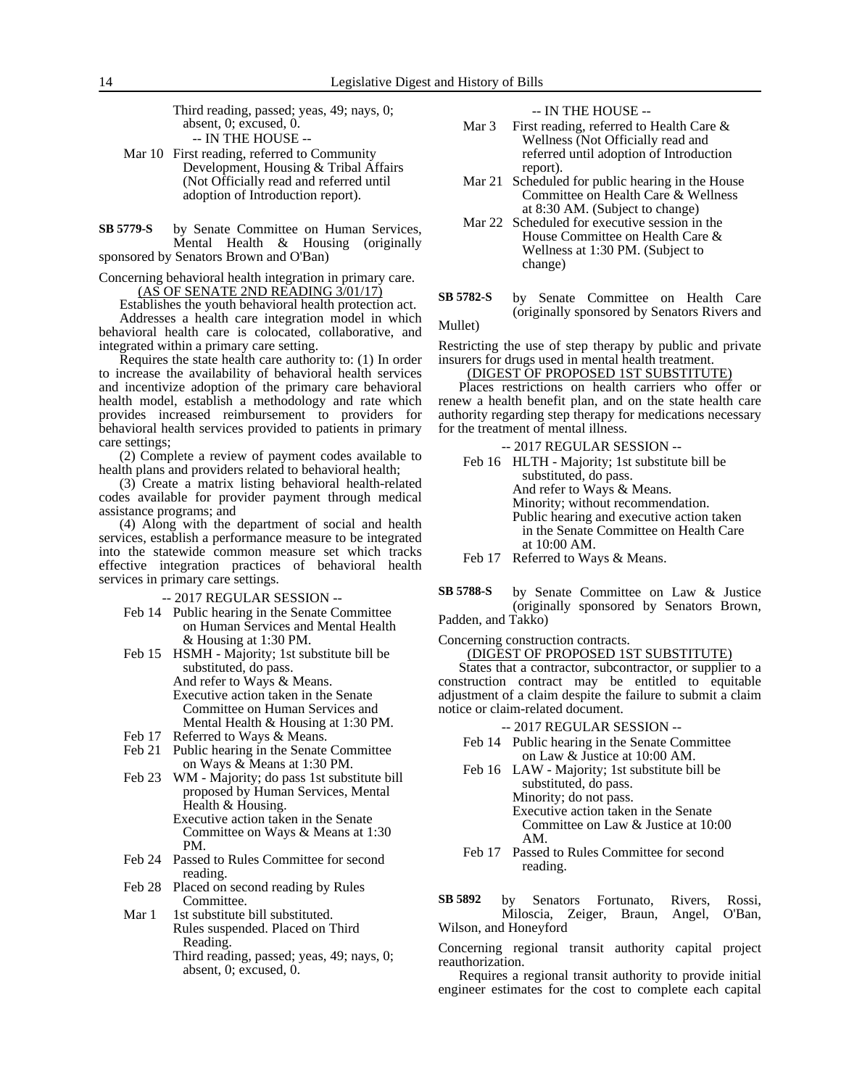Third reading, passed; yeas, 49; nays, 0; absent, 0; excused, 0. -- IN THE HOUSE --

- Mar 10 First reading, referred to Community Development, Housing & Tribal Affairs (Not Officially read and referred until adoption of Introduction report).
- by Senate Committee on Human Services, Mental Health & Housing (originally sponsored by Senators Brown and O'Ban) **SB 5779-S**

Concerning behavioral health integration in primary care. (AS OF SENATE 2ND READING 3/01/17)

Establishes the youth behavioral health protection act. Addresses a health care integration model in which behavioral health care is colocated, collaborative, and integrated within a primary care setting.

Requires the state health care authority to: (1) In order to increase the availability of behavioral health services and incentivize adoption of the primary care behavioral health model, establish a methodology and rate which provides increased reimbursement to providers for behavioral health services provided to patients in primary care settings;

(2) Complete a review of payment codes available to health plans and providers related to behavioral health;

(3) Create a matrix listing behavioral health-related codes available for provider payment through medical assistance programs; and

(4) Along with the department of social and health services, establish a performance measure to be integrated into the statewide common measure set which tracks effective integration practices of behavioral health services in primary care settings.

-- 2017 REGULAR SESSION --

- Feb 14 Public hearing in the Senate Committee on Human Services and Mental Health & Housing at 1:30 PM.
- Feb 15 HSMH Majority; 1st substitute bill be substituted, do pass. And refer to Ways & Means. Executive action taken in the Senate Committee on Human Services and Mental Health & Housing at 1:30 PM.
- Feb 17 Referred to Ways & Means.
- Feb 21 Public hearing in the Senate Committee on Ways & Means at 1:30 PM.
- Feb 23 WM Majority; do pass 1st substitute bill proposed by Human Services, Mental Health & Housing.
	- Executive action taken in the Senate Committee on Ways & Means at 1:30 PM.
- Feb 24 Passed to Rules Committee for second reading.
- Feb 28 Placed on second reading by Rules Committee.
- Mar 1 1st substitute bill substituted. Rules suspended. Placed on Third Reading.
	- Third reading, passed; yeas, 49; nays, 0; absent, 0; excused, 0.

-- IN THE HOUSE --

- Mar 3 First reading, referred to Health Care  $\&$ Wellness (Not Officially read and referred until adoption of Introduction report).
- Mar 21 Scheduled for public hearing in the House Committee on Health Care & Wellness at 8:30 AM. (Subject to change)
- Mar 22 Scheduled for executive session in the House Committee on Health Care & Wellness at 1:30 PM. (Subject to change)
- by Senate Committee on Health Care (originally sponsored by Senators Rivers and **SB 5782-S**

Mullet)

Restricting the use of step therapy by public and private insurers for drugs used in mental health treatment.

(DIGEST OF PROPOSED 1ST SUBSTITUTE)

Places restrictions on health carriers who offer or renew a health benefit plan, and on the state health care authority regarding step therapy for medications necessary for the treatment of mental illness.

-- 2017 REGULAR SESSION --

Feb 16 HLTH - Majority; 1st substitute bill be substituted, do pass. And refer to Ways & Means. Minority; without recommendation. Public hearing and executive action taken in the Senate Committee on Health Care at 10:00 AM.

- Feb 17 Referred to Ways & Means.
- by Senate Committee on Law & Justice (originally sponsored by Senators Brown, Padden, and Takko) **SB 5788-S**

Concerning construction contracts.

(DIGEST OF PROPOSED 1ST SUBSTITUTE)

States that a contractor, subcontractor, or supplier to a construction contract may be entitled to equitable adjustment of a claim despite the failure to submit a claim notice or claim-related document.

-- 2017 REGULAR SESSION --

- Feb 14 Public hearing in the Senate Committee on Law & Justice at 10:00 AM.
- Feb 16 LAW Majority; 1st substitute bill be substituted, do pass. Minority; do not pass. Executive action taken in the Senate Committee on Law & Justice at 10:00 AM.
- Feb 17 Passed to Rules Committee for second reading.

by Senators Fortunato, Rivers, Rossi,<br>Miloscia, Zeiger, Braun, Angel, O'Ban, Miloscia, Zeiger, Braun, Wilson, and Honeyford **SB 5892**

Concerning regional transit authority capital project reauthorization.

Requires a regional transit authority to provide initial engineer estimates for the cost to complete each capital